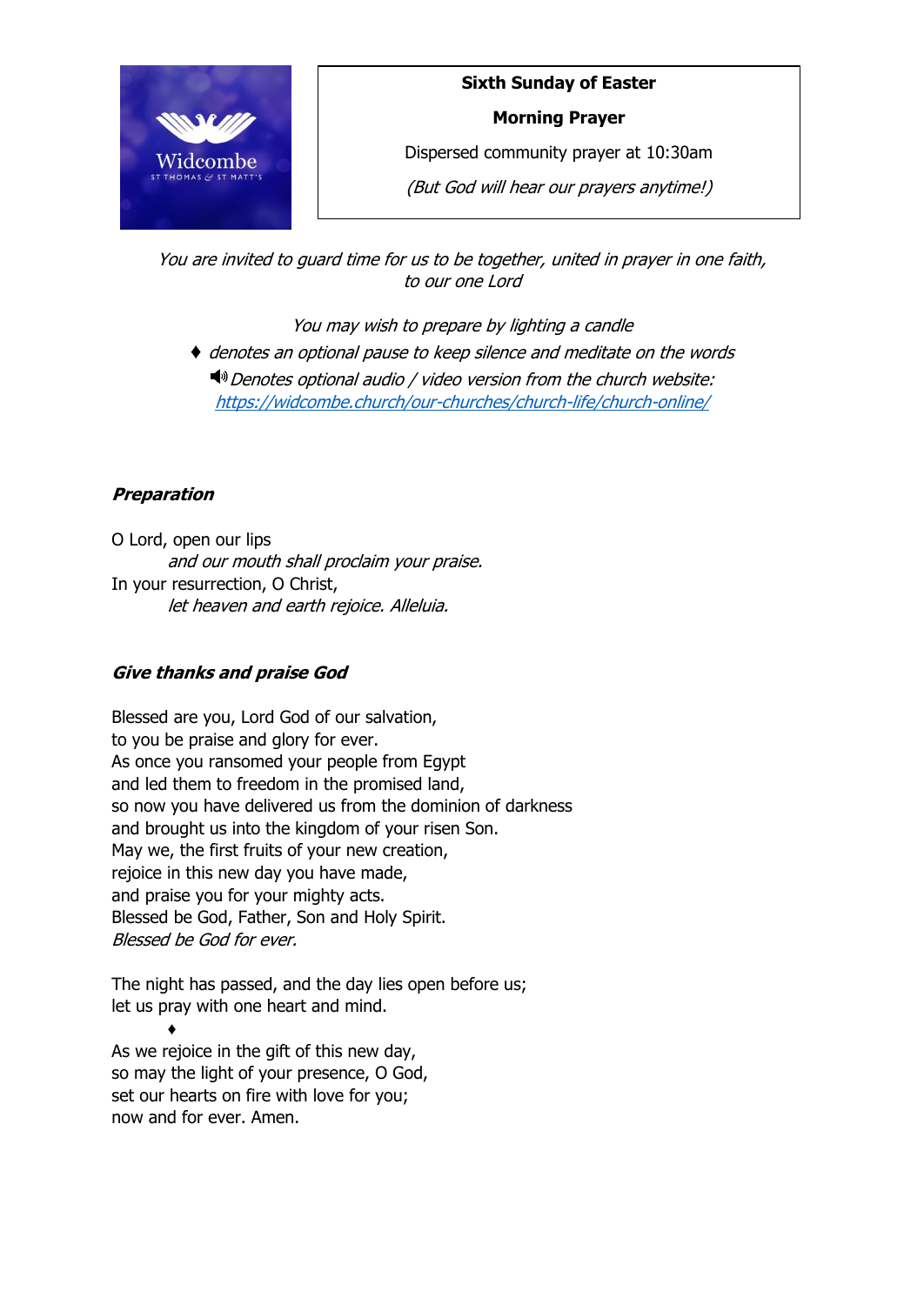

# **Sixth Sunday of Easter**

#### **Morning Prayer**

Dispersed community prayer at 10:30am

(But God will hear our prayers anytime!)

You are invited to guard time for us to be together, united in prayer in one faith, to our one Lord

You may wish to prepare by lighting a candle

♦ denotes an optional pause to keep silence and meditate on the words  $\blacktriangleleft$ <sup>0</sup> Denotes optional audio / video version from the church website: <https://widcombe.church/our-churches/church-life/church-online/>

# **Preparation**

O Lord, open our lips and our mouth shall proclaim your praise. In your resurrection, O Christ, let heaven and earth rejoice. Alleluia.

## **Give thanks and praise God**

Blessed are you, Lord God of our salvation, to you be praise and glory for ever. As once you ransomed your people from Egypt and led them to freedom in the promised land, so now you have delivered us from the dominion of darkness and brought us into the kingdom of your risen Son. May we, the first fruits of your new creation, rejoice in this new day you have made, and praise you for your mighty acts. Blessed be God, Father, Son and Holy Spirit. Blessed be God for ever.

The night has passed, and the day lies open before us; let us pray with one heart and mind.

♦ As we rejoice in the gift of this new day, so may the light of your presence, O God, set our hearts on fire with love for you; now and for ever. Amen.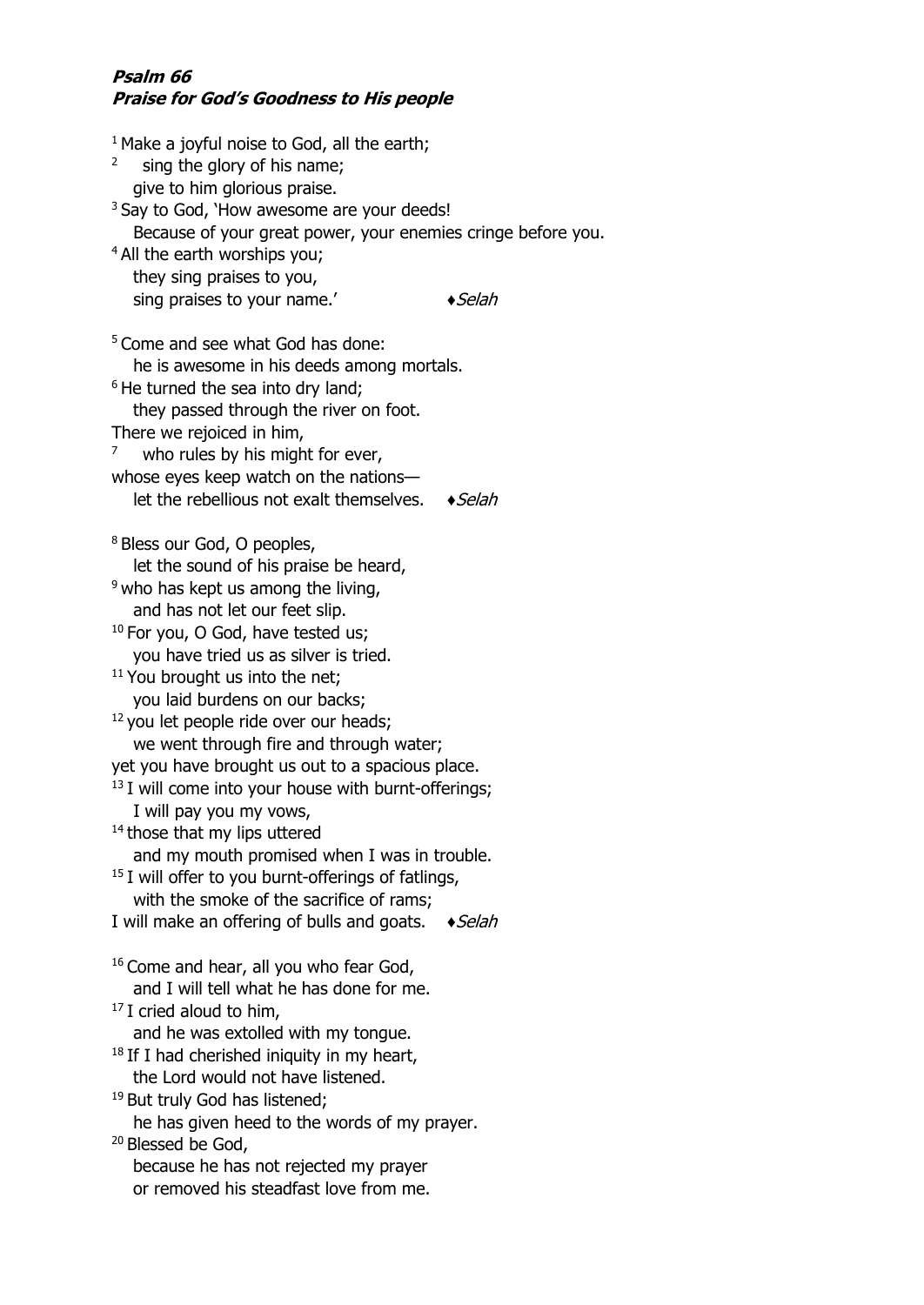#### **Psalm 66 Praise for God's Goodness to His people**

 $1$  Make a joyful noise to God, all the earth; 2 sing the glory of his name; give to him glorious praise. <sup>3</sup> Say to God, 'How awesome are your deeds! Because of your great power, your enemies cringe before you. <sup>4</sup> All the earth worships you; they sing praises to you, sing praises to your name.'  $\blacklozenge$   $\blacklozenge$  Selah <sup>5</sup> Come and see what God has done: he is awesome in his deeds among mortals. <sup>6</sup> He turned the sea into dry land; they passed through the river on foot. There we rejoiced in him, 7 who rules by his might for ever, whose eyes keep watch on the nations let the rebellious not exalt themselves.  $\bullet$  *Selah* <sup>8</sup> Bless our God, O peoples, let the sound of his praise be heard,  $9$  who has kept us among the living, and has not let our feet slip. <sup>10</sup> For you, O God, have tested us; you have tried us as silver is tried.  $11$  You brought us into the net; you laid burdens on our backs; <sup>12</sup> you let people ride over our heads; we went through fire and through water; yet you have brought us out to a spacious place.  $13$  I will come into your house with burnt-offerings; I will pay you my vows, <sup>14</sup> those that my lips uttered and my mouth promised when I was in trouble.  $15$  I will offer to you burnt-offerings of fatlings, with the smoke of the sacrifice of rams; I will make an offering of bulls and goats.  $\bullet$  *Selah* <sup>16</sup> Come and hear, all you who fear God, and I will tell what he has done for me.  $17$  I cried aloud to him, and he was extolled with my tongue.  $18$  If I had cherished iniquity in my heart, the Lord would not have listened. <sup>19</sup> But truly God has listened; he has given heed to the words of my prayer. <sup>20</sup> Blessed be God, because he has not rejected my prayer or removed his steadfast love from me.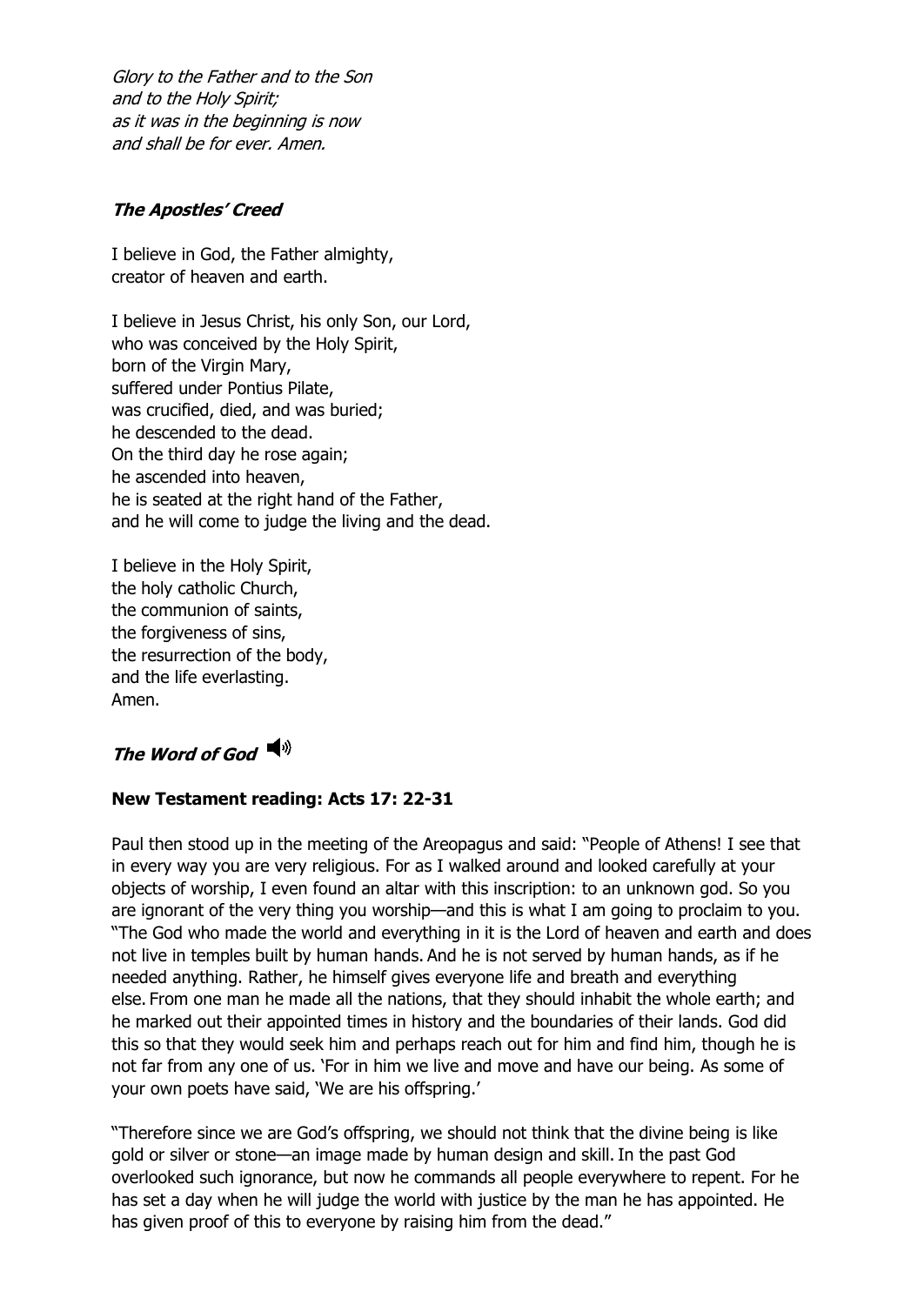Glory to the Father and to the Son and to the Holy Spirit; as it was in the beginning is now and shall be for ever. Amen.

#### **The Apostles' Creed**

I believe in God, the Father almighty, creator of heaven and earth.

I believe in Jesus Christ, his only Son, our Lord, who was conceived by the Holy Spirit, born of the Virgin Mary, suffered under Pontius Pilate, was crucified, died, and was buried; he descended to the dead. On the third day he rose again; he ascended into heaven, he is seated at the right hand of the Father, and he will come to judge the living and the dead.

I believe in the Holy Spirit, the holy catholic Church, the communion of saints, the forgiveness of sins, the resurrection of the body, and the life everlasting. Amen.

# **The Word of God**

#### **New Testament reading: Acts 17: 22-31**

Paul then stood up in the meeting of the Areopagus and said: "People of Athens! I see that in every way you are very religious. For as I walked around and looked carefully at your objects of worship, I even found an altar with this inscription: to an unknown god. So you are ignorant of the very thing you worship—and this is what I am going to proclaim to you. "The God who made the world and everything in it is the Lord of heaven and earth and does not live in temples built by human hands. And he is not served by human hands, as if he needed anything. Rather, he himself gives everyone life and breath and everything else. From one man he made all the nations, that they should inhabit the whole earth; and he marked out their appointed times in history and the boundaries of their lands. God did this so that they would seek him and perhaps reach out for him and find him, though he is not far from any one of us. 'For in him we live and move and have our being. As some of your own poets have said, 'We are his offspring.'

"Therefore since we are God's offspring, we should not think that the divine being is like gold or silver or stone—an image made by human design and skill. In the past God overlooked such ignorance, but now he commands all people everywhere to repent. For he has set a day when he will judge the world with justice by the man he has appointed. He has given proof of this to everyone by raising him from the dead."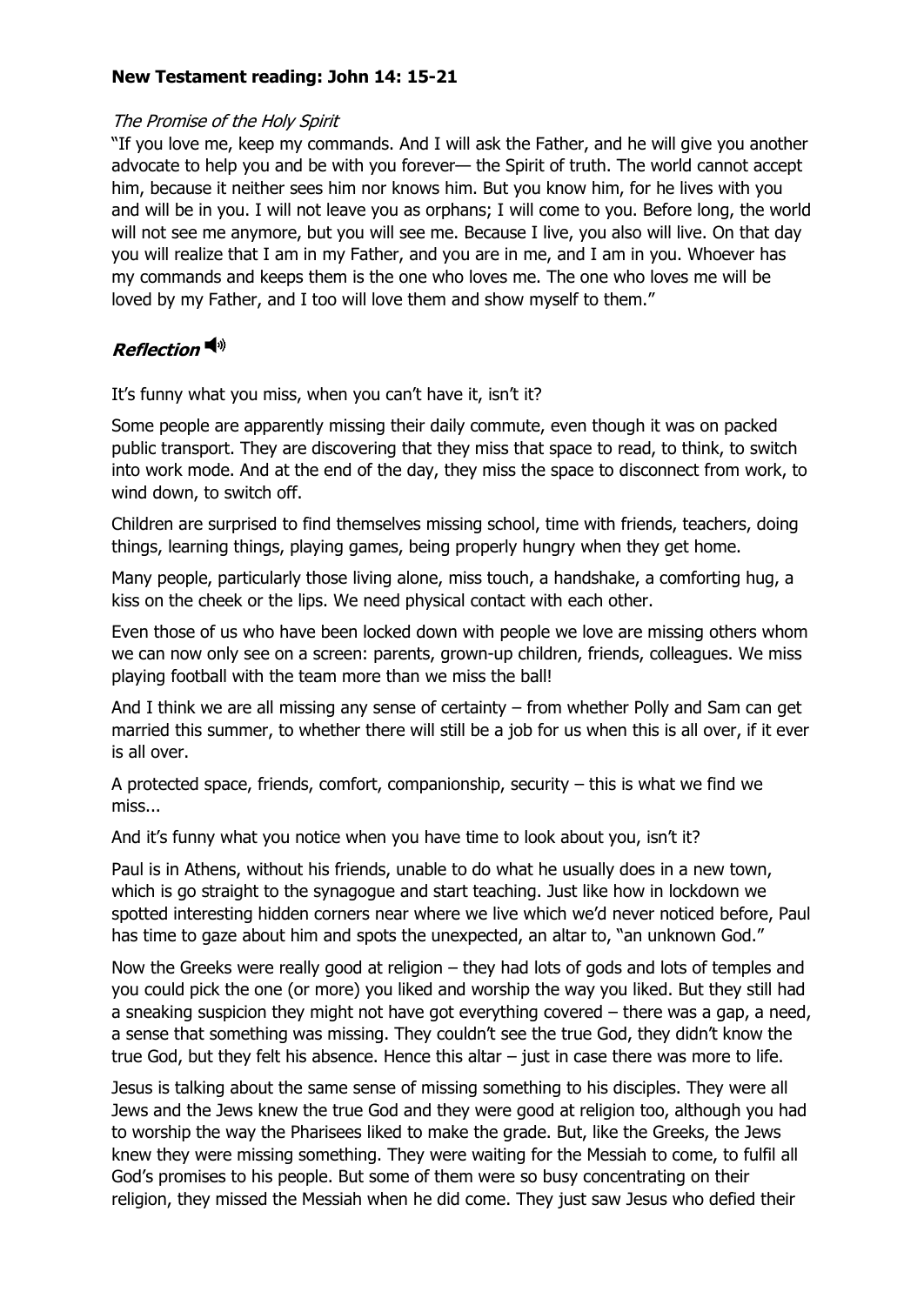#### **New Testament reading: John 14: 15-21**

#### The Promise of the Holy Spirit

"If you love me, keep my commands. And I will ask the Father, and he will give you another advocate to help you and be with you forever— the Spirit of truth. The world cannot accept him, because it neither sees him nor knows him. But you know him, for he lives with you and will be in you. I will not leave you as orphans; I will come to you. Before long, the world will not see me anymore, but you will see me. Because I live, you also will live. On that day you will realize that I am in my Father, and you are in me, and I am in you. Whoever has my commands and keeps them is the one who loves me. The one who loves me will be loved by my Father, and I too will love them and show myself to them."

# **Reflection**

It's funny what you miss, when you can't have it, isn't it?

Some people are apparently missing their daily commute, even though it was on packed public transport. They are discovering that they miss that space to read, to think, to switch into work mode. And at the end of the day, they miss the space to disconnect from work, to wind down, to switch off.

Children are surprised to find themselves missing school, time with friends, teachers, doing things, learning things, playing games, being properly hungry when they get home.

Many people, particularly those living alone, miss touch, a handshake, a comforting hug, a kiss on the cheek or the lips. We need physical contact with each other.

Even those of us who have been locked down with people we love are missing others whom we can now only see on a screen: parents, grown-up children, friends, colleagues. We miss playing football with the team more than we miss the ball!

And I think we are all missing any sense of certainty – from whether Polly and Sam can get married this summer, to whether there will still be a job for us when this is all over, if it ever is all over.

A protected space, friends, comfort, companionship, security – this is what we find we miss...

And it's funny what you notice when you have time to look about you, isn't it?

Paul is in Athens, without his friends, unable to do what he usually does in a new town, which is go straight to the synagogue and start teaching. Just like how in lockdown we spotted interesting hidden corners near where we live which we'd never noticed before, Paul has time to gaze about him and spots the unexpected, an altar to, "an unknown God."

Now the Greeks were really good at religion – they had lots of gods and lots of temples and you could pick the one (or more) you liked and worship the way you liked. But they still had a sneaking suspicion they might not have got everything covered – there was a gap, a need, a sense that something was missing. They couldn't see the true God, they didn't know the true God, but they felt his absence. Hence this altar – just in case there was more to life.

Jesus is talking about the same sense of missing something to his disciples. They were all Jews and the Jews knew the true God and they were good at religion too, although you had to worship the way the Pharisees liked to make the grade. But, like the Greeks, the Jews knew they were missing something. They were waiting for the Messiah to come, to fulfil all God's promises to his people. But some of them were so busy concentrating on their religion, they missed the Messiah when he did come. They just saw Jesus who defied their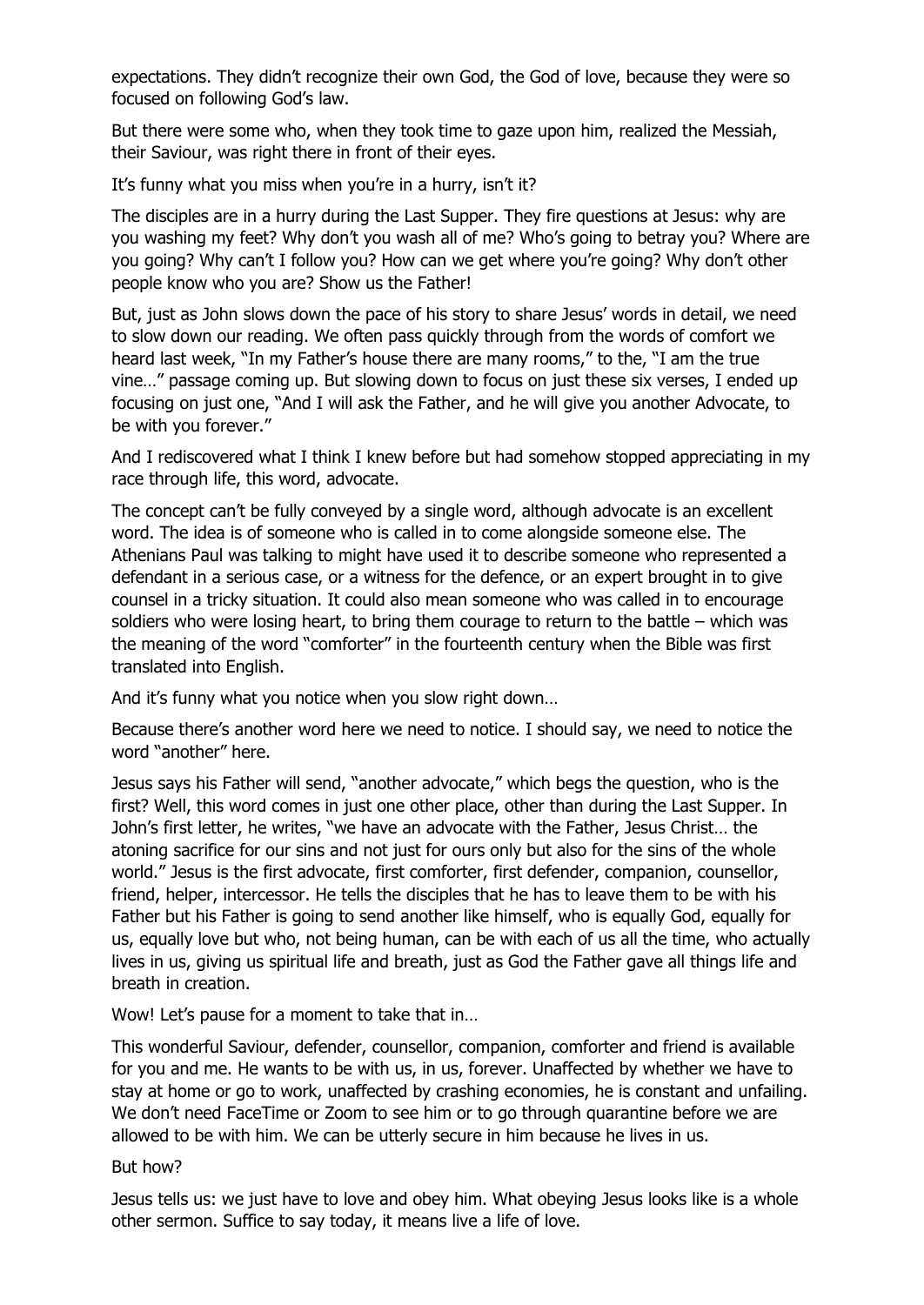expectations. They didn't recognize their own God, the God of love, because they were so focused on following God's law.

But there were some who, when they took time to gaze upon him, realized the Messiah, their Saviour, was right there in front of their eyes.

It's funny what you miss when you're in a hurry, isn't it?

The disciples are in a hurry during the Last Supper. They fire questions at Jesus: why are you washing my feet? Why don't you wash all of me? Who's going to betray you? Where are you going? Why can't I follow you? How can we get where you're going? Why don't other people know who you are? Show us the Father!

But, just as John slows down the pace of his story to share Jesus' words in detail, we need to slow down our reading. We often pass quickly through from the words of comfort we heard last week, "In my Father's house there are many rooms," to the, "I am the true vine…" passage coming up. But slowing down to focus on just these six verses, I ended up focusing on just one, "And I will ask the Father, and he will give you another Advocate, to be with you forever."

And I rediscovered what I think I knew before but had somehow stopped appreciating in my race through life, this word, advocate.

The concept can't be fully conveyed by a single word, although advocate is an excellent word. The idea is of someone who is called in to come alongside someone else. The Athenians Paul was talking to might have used it to describe someone who represented a defendant in a serious case, or a witness for the defence, or an expert brought in to give counsel in a tricky situation. It could also mean someone who was called in to encourage soldiers who were losing heart, to bring them courage to return to the battle – which was the meaning of the word "comforter" in the fourteenth century when the Bible was first translated into English.

And it's funny what you notice when you slow right down…

Because there's another word here we need to notice. I should say, we need to notice the word "another" here.

Jesus says his Father will send, "another advocate," which begs the question, who is the first? Well, this word comes in just one other place, other than during the Last Supper. In John's first letter, he writes, "we have an advocate with the Father, Jesus Christ… the atoning sacrifice for our sins and not just for ours only but also for the sins of the whole world." Jesus is the first advocate, first comforter, first defender, companion, counsellor, friend, helper, intercessor. He tells the disciples that he has to leave them to be with his Father but his Father is going to send another like himself, who is equally God, equally for us, equally love but who, not being human, can be with each of us all the time, who actually lives in us, giving us spiritual life and breath, just as God the Father gave all things life and breath in creation.

Wow! Let's pause for a moment to take that in…

This wonderful Saviour, defender, counsellor, companion, comforter and friend is available for you and me. He wants to be with us, in us, forever. Unaffected by whether we have to stay at home or go to work, unaffected by crashing economies, he is constant and unfailing. We don't need FaceTime or Zoom to see him or to go through quarantine before we are allowed to be with him. We can be utterly secure in him because he lives in us.

But how?

Jesus tells us: we just have to love and obey him. What obeying Jesus looks like is a whole other sermon. Suffice to say today, it means live a life of love.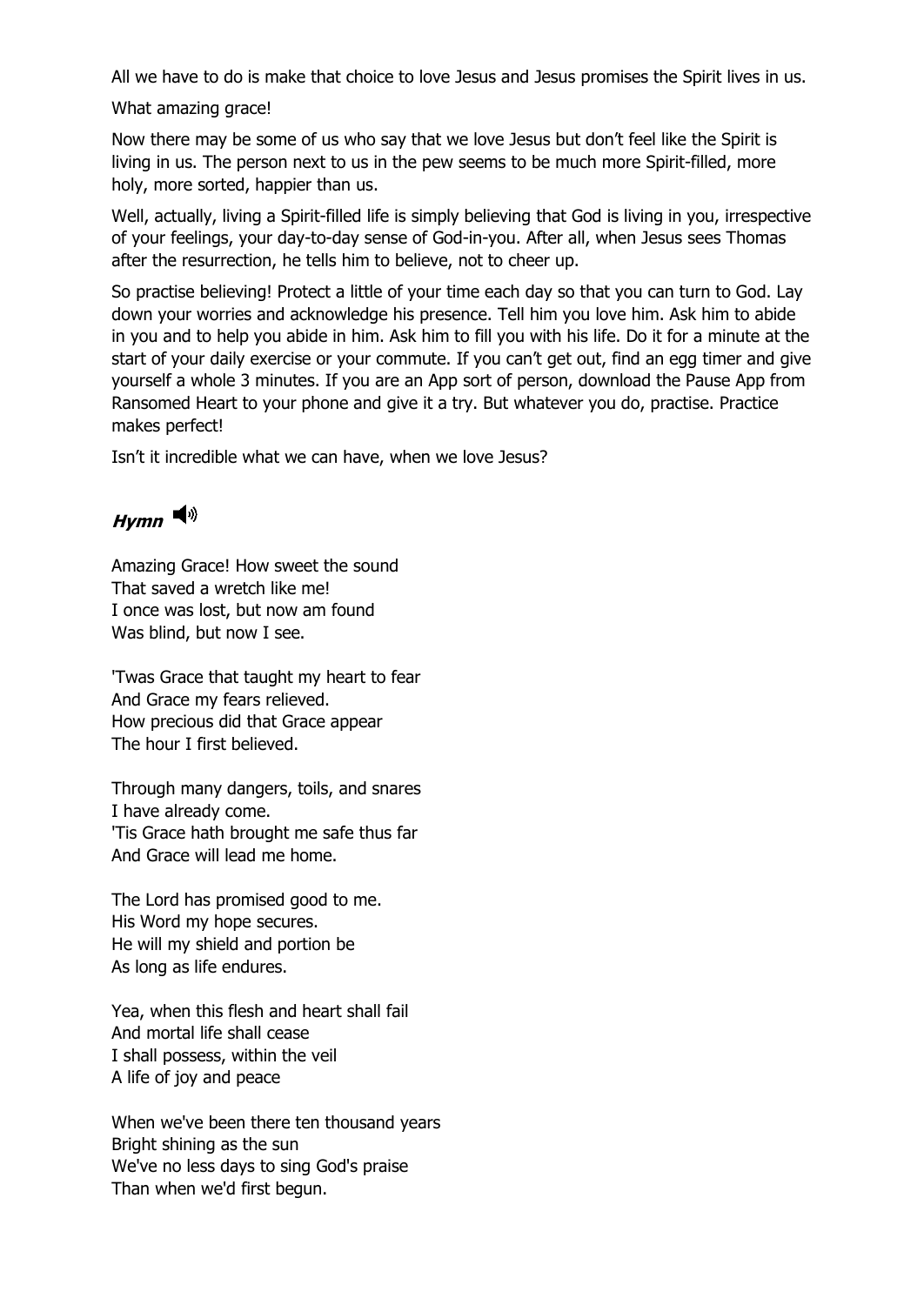All we have to do is make that choice to love Jesus and Jesus promises the Spirit lives in us.

What amazing grace!

Now there may be some of us who say that we love Jesus but don't feel like the Spirit is living in us. The person next to us in the pew seems to be much more Spirit-filled, more holy, more sorted, happier than us.

Well, actually, living a Spirit-filled life is simply believing that God is living in you, irrespective of your feelings, your day-to-day sense of God-in-you. After all, when Jesus sees Thomas after the resurrection, he tells him to believe, not to cheer up.

So practise believing! Protect a little of your time each day so that you can turn to God. Lay down your worries and acknowledge his presence. Tell him you love him. Ask him to abide in you and to help you abide in him. Ask him to fill you with his life. Do it for a minute at the start of your daily exercise or your commute. If you can't get out, find an egg timer and give yourself a whole 3 minutes. If you are an App sort of person, download the Pause App from Ransomed Heart to your phone and give it a try. But whatever you do, practise. Practice makes perfect!

Isn't it incredible what we can have, when we love Jesus?

# **Hymn**

Amazing Grace! How sweet the sound That saved a wretch like me! I once was lost, but now am found Was blind, but now I see.

'Twas Grace that taught my heart to fear And Grace my fears relieved. How precious did that Grace appear The hour I first believed.

Through many dangers, toils, and snares I have already come. 'Tis Grace hath brought me safe thus far And Grace will lead me home.

The Lord has promised good to me. His Word my hope secures. He will my shield and portion be As long as life endures.

Yea, when this flesh and heart shall fail And mortal life shall cease I shall possess, within the veil A life of joy and peace

When we've been there ten thousand years Bright shining as the sun We've no less days to sing God's praise Than when we'd first begun.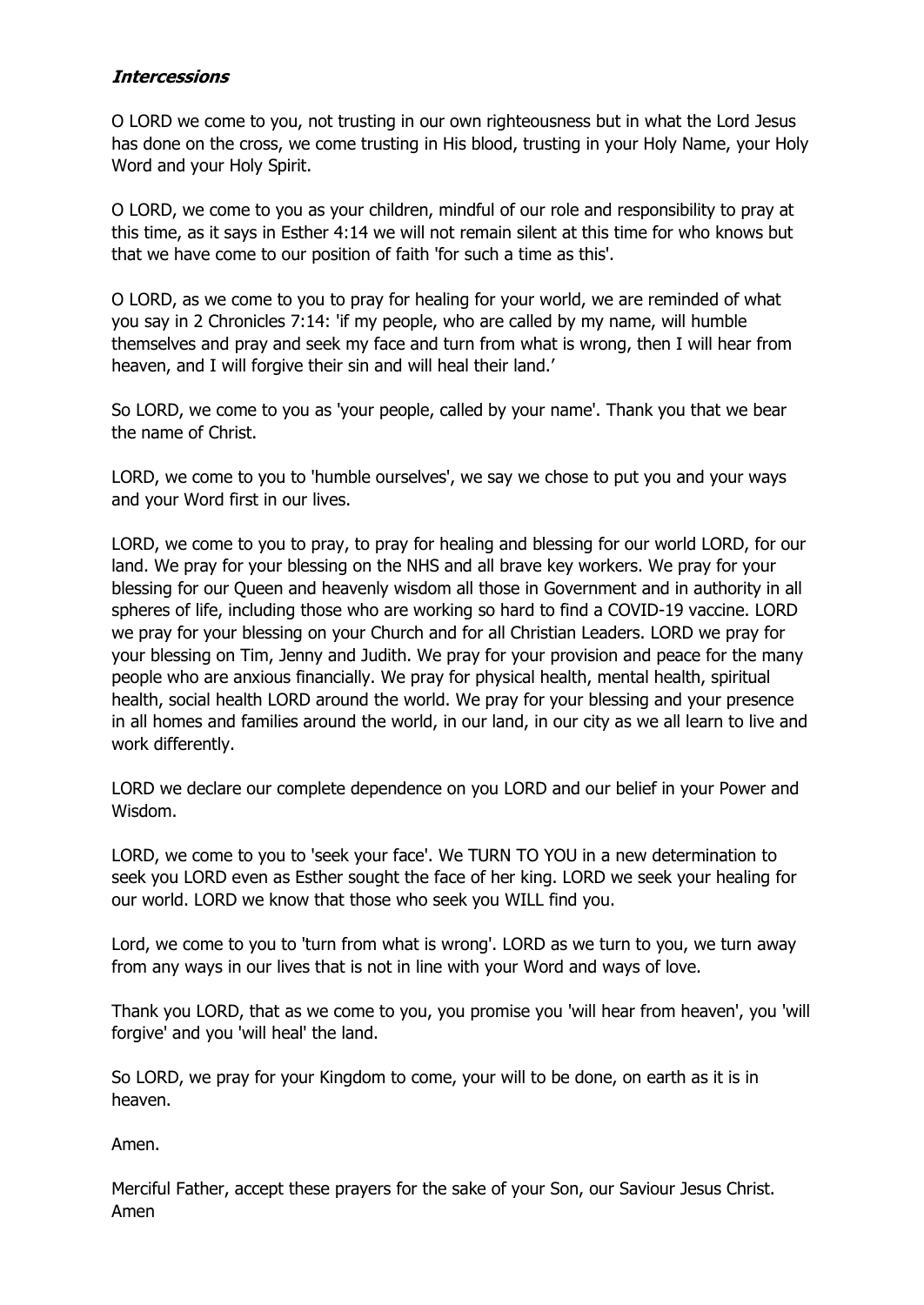#### **Intercessions**

O LORD we come to you, not trusting in our own righteousness but in what the Lord Jesus has done on the cross, we come trusting in His blood, trusting in your Holy Name, your Holy Word and your Holy Spirit.

O LORD, we come to you as your children, mindful of our role and responsibility to pray at this time, as it says in Esther 4:14 we will not remain silent at this time for who knows but that we have come to our position of faith 'for such a time as this'.

O LORD, as we come to you to pray for healing for your world, we are reminded of what you say in 2 Chronicles 7:14: 'if my people, who are called by my name, will humble themselves and pray and seek my face and turn from what is wrong, then I will hear from heaven, and I will forgive their sin and will heal their land.'

So LORD, we come to you as 'your people, called by your name'. Thank you that we bear the name of Christ.

LORD, we come to you to 'humble ourselves', we say we chose to put you and your ways and your Word first in our lives.

LORD, we come to you to pray, to pray for healing and blessing for our world LORD, for our land. We pray for your blessing on the NHS and all brave key workers. We pray for your blessing for our Queen and heavenly wisdom all those in Government and in authority in all spheres of life, including those who are working so hard to find a COVID-19 vaccine. LORD we pray for your blessing on your Church and for all Christian Leaders. LORD we pray for your blessing on Tim, Jenny and Judith. We pray for your provision and peace for the many people who are anxious financially. We pray for physical health, mental health, spiritual health, social health LORD around the world. We pray for your blessing and your presence in all homes and families around the world, in our land, in our city as we all learn to live and work differently.

LORD we declare our complete dependence on you LORD and our belief in your Power and Wisdom.

LORD, we come to you to 'seek your face'. We TURN TO YOU in a new determination to seek you LORD even as Esther sought the face of her king. LORD we seek your healing for our world. LORD we know that those who seek you WILL find you.

Lord, we come to you to 'turn from what is wrong'. LORD as we turn to you, we turn away from any ways in our lives that is not in line with your Word and ways of love.

Thank you LORD, that as we come to you, you promise you 'will hear from heaven', you 'will forgive' and you 'will heal' the land.

So LORD, we pray for your Kingdom to come, your will to be done, on earth as it is in heaven.

Amen.

Merciful Father, accept these prayers for the sake of your Son, our Saviour Jesus Christ. Amen